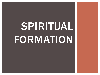# SPIRITUAL FORMATION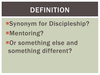### DEFINITION

Synonym for Discipleship? ■Mentoring? ■Or something else and something different?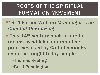### ROOTS OF THE SPIRITUAL FORMATION MOVEMENT

- 1974 Father William *Menninger—The Cloud of Unknowing.*
- **This 14<sup>th</sup> century book offered a** means by which contemplative practices used by Catholic monks, could be taught to lay people. Thomas Keeting
	- Basil Pennington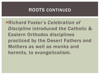#### ROOTS CONTINUED

Richard Foster's *Celebration of Discipline* introduced the Catholic & Eastern Orthodox disciplines practiced by the Desert Fathers and Mothers as well as monks and hermits, to evangelicalism.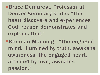Bruce Demarest, Professor at Denver Seminary states "The heart discovers and experiences God; reason demonstrates and explains God."

Brennan Manning: "The engaged mind, illumined by truth, awakens awareness; the engaged heart, affected by love, awakens passion."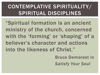### CONTEMPLATIVE SPIRITUALITY/ SPIRITUAL DISCIPLINES

"Spiritual formation is an ancient ministry of the church, concerned with the 'forming' or 'shaping' of a believer's character and actions into the likeness of Christ."

> Bruce Demarest in *Satisfy Your Soul*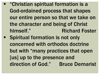"Christian spiritual formation is a God-ordained process that shapes our entire person so that we take on the character and being of Christ himself." Richard Foster **Spiritual formation is not only** concerned with orthodox doctrine but with "many practices that open [us] up to the presence and direction of God." Bruce Demarist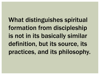What distinguishes spiritual formation from discipleship is not in its basically similar definition, but its source, its practices, and its philosophy.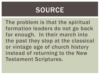### SOURCE

The problem is that the spiritual formation leaders do not go back far enough. In their march into the past they stop at the classical or vintage age of church history instead of returning to the New Testament Scriptures.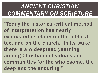### *ANCIENT CHRISTIAN COMMENTARY ON SCRIPTURE*

"Today the historical-critical method of interpretation has nearly exhausted its claim on the biblical text and on the church. In its wake there is a widespread yearning among Christian individuals and communities for the wholesome, the deep and the enduring."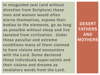In misguided zeal (and without direction from Scripture) these men and women would often starve themselves, expose their bodies to the elements, go as long as possible without sleep and live isolated from civilization. Under these peculiar and extreme conditions many of them claimed to have visions and encounters with the Lord. Some declared these individuals super-saints and their visions and dreams as revelatory words from the Lord.

DESERT FATHERS AND **MOTHERS**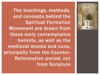

The teachings, methods, and concepts behind the Spiritual Formation Movement are drawn from these early contemplative hermits, as well as the medieval monks and nuns, principally from the Counter-Reformation period, not from Scripture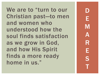We are to "turn to our Christian past—to men and women who understood how the soul finds satisfaction as we grow in God, and how His Spirit finds a more ready home in us."

D E M A R E S T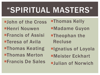## "SPIRITUAL MASTERS"

**Hohn of the Cross** Henri Nouwen **EFrancis of Assisi Teresa of Avila Thomas Keating Thomas Merton EFrancis De Sales** 

**Thomas Kelly** 

- Madame Guyon
- **Theophan the** Recluse
- **Elgnatius of Loyola**
- Meister Eckhart
- **-Julian of Norwich**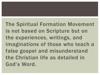The Spiritual Formation Movement is not based on Scripture but on the experiences, writings, and imaginations of those who teach a false gospel and misunderstand the Christian life as detailed in God's Word.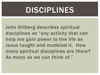## DISCIPLINES

John Ortberg describes spiritual disciplines as "any activity that can help me gain power to live life as Jesus taught and modeled it. How many spiritual disciplines are there? As many as we can think of."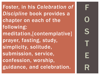Foster, in his *Celebration of Discipline* book provides a chapter on each of the following: meditation,[contemplative] prayer, fasting, study, simplicity, solitude, submission, service, confession, worship, guidance, and celebration.

F O S T E R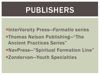## PUBLISHERS

■InterVarsity Press–*Formatio* series **Thomas Nelson Publishing—"The** Ancient Practices Series" NavPress—"Spiritual Formation Line" Zondervan—Youth Specialties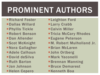## PROMINENT AUTHORS

- Richard Foster
- Dallas Willard
- Phyllis Tickle
- Robert Benson
- **-Dan Allender**
- Scot McKnight
- Nora Gallagher
- Adele Calhoun
- **David deSilva**
- Ruth Barton
- Jan Johnson
- **Helen Cepero**
- **Leighton Ford**
- **Larry Crabb**
- Calvin Miller
- **Tricia McCary Rhodes**
- **Eugene Peterson**
- **M. Robert Mulholland Jr.**
- Brian McLaren
- **John Ortberg**
- **Mark Yaconelli**
- **Brennan Manning**
- **Bruce Demarest**
- **E**Kenneth Boa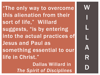"The only way to overcome this alienation from their sort of life," Willard suggests, "is by entering into the actual practices of Jesus and Paul as something essential to our life in Christ." Dallas Willard in *The Spirit of Disciplines* 

**WV** I L L A R D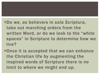Do we, as believers in *sola Scriptura*, take out marching orders from the written Word, or do we look to the "white spaces" in Scripture to determine how we live?

**Once it is accepted that we can enhance** the Christian life by augmenting the inspired words of Scripture there is no limit to where we might end up.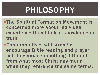## PHILOSOPHY

- **-The Spiritual Formation Movement is** concerned more about individual experience than biblical knowledge or truth.
- ■Contemplatives will strongly encourage Bible reading and prayer but they mean something different from what most Christians mean when they reference the same terms.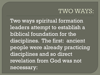### TWO WAYS:

Two ways spiritual formation leaders attempt to establish a biblical foundation for the disciplines. The first: ancient people were already practicing disciplines and so direct revelation from God was not necessary: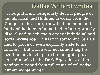### Dallas Willard writes:

"Thoughtful and religiously devout people of the classical and Hellenistic world, from the Ganges to the Tiber, knew that the mind and body of the human being had to be rigorously disciplined to achieve a decent individual and social existence. This is not something St. Paul had to prove or even explicitly state to his readers—but it also was not something he overlooked, leaving it to be thought up by crazed monks in the Dark Ages. It is, rather, a wisdom gleaned from millennia of collective human experience."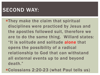### SECOND WAY:

**They make the claim that spiritual** disciplines were practiced by Jesus and the apostles followed suit, therefore we are to do the same thing. Willard states: "It is solitude and solitude alone that opens the possibility of a radical relationship to God that can withstand all external events up to and beyond death."

Colossians 2:20-23 (what Paul tells us)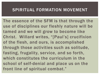#### SPIRITUAL FORMATION MOVEMENT

The essence of the SFM is that through the use of disciplines our fleshly nature will be tamed and we will grow to become like Christ. Willard writes, "[Paul's] crucifixion of the flesh, and ours, is accomplished through those activities such as solitude, fasting, frugality, service, and so forth, which constitutes the curriculum in the school of self-denial and place us on the front line of spiritual combat."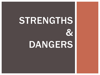# STRENGTHS  $\boldsymbol{\alpha}$ DANGERS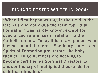#### RICHARD FOSTER WRITES IN 2004:

"When I first began writing in the field in the late 70s and early 80s the term 'Spiritual Formation' was hardly known, except for specialized references in relation to the Catholic orders. Today it is a rare person who has not heard the term. Seminary courses in Spiritual Formation proliferate like baby rabbits. Huge numbers are seeking to become certified as Spiritual Directors to answer the cry of multiplied thousands for spiritual direction."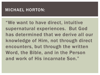#### MICHAEL HORTON:

"We want to have direct, intuitive supernatural experiences. But God has determined that we derive all our knowledge of Him, not through direct encounters, but through the written Word, the Bible, and in the Person and work of His incarnate Son."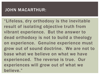#### JOHN MACARTHUR:

"Lifeless, dry orthodoxy is the inevitable result of isolating objective truth from vibrant experience. But the answer to dead orthodoxy is not to build a theology on experience. Genuine experience must grow out of sound doctrine. We are not to base what we believe on what we have experienced. The reverse is true. Our experiences will grow out of what we believe."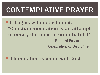## CONTEMPLATIVE PRAYER

**If begins with detachment.** "Christian meditation is an attempt to empty the mind in order to fill it" Richard Foster *Celebration of Discipline*

#### **Illumination is union with God**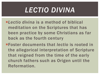## *LECTIO DIVINA*

- *Lectio divina* is a method of biblical meditation on the Scriptures that has been practice by some Christians as far back as the fourth century
- Foster documents that *lectio* is rooted in the allegorical interpretation of Scripture that reigned from the time of the early church fathers such as Origen until the Reformation.